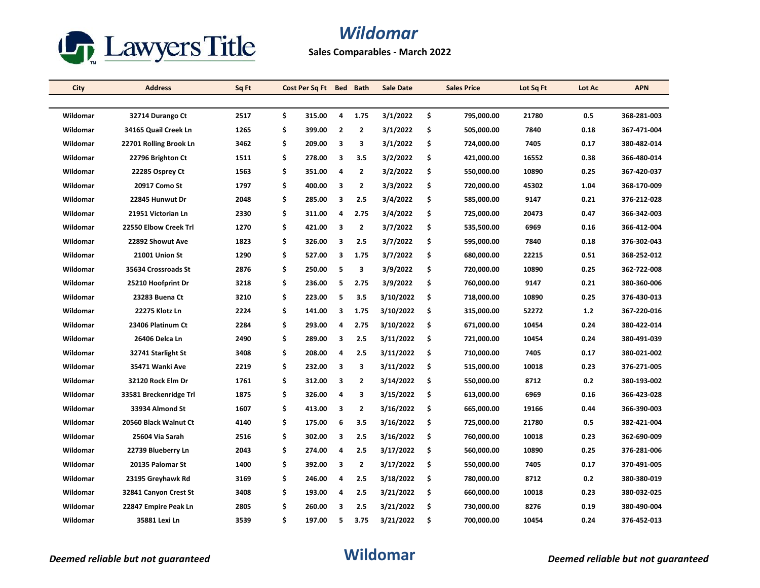

## *Wildomar*

**Sales Comparables - March 2022**

| City     | <b>Address</b>         | Sq Ft | Cost Per Sq Ft | <b>Bed</b>     | <b>Bath</b>    | <b>Sale Date</b> |     | <b>Sales Price</b> | Lot Sq Ft | Lot Ac | <b>APN</b>  |
|----------|------------------------|-------|----------------|----------------|----------------|------------------|-----|--------------------|-----------|--------|-------------|
|          |                        |       |                |                |                |                  |     |                    |           |        |             |
| Wildomar | 32714 Durango Ct       | 2517  | \$<br>315.00   | 4              | 1.75           | 3/1/2022         | \$  | 795,000.00         | 21780     | 0.5    | 368-281-003 |
| Wildomar | 34165 Quail Creek Ln   | 1265  | \$<br>399.00   | $\overline{2}$ | $\overline{2}$ | 3/1/2022         | \$  | 505,000.00         | 7840      | 0.18   | 367-471-004 |
| Wildomar | 22701 Rolling Brook Ln | 3462  | \$<br>209.00   | 3              | 3              | 3/1/2022         | \$  | 724,000.00         | 7405      | 0.17   | 380-482-014 |
| Wildomar | 22796 Brighton Ct      | 1511  | \$<br>278.00   | 3              | 3.5            | 3/2/2022         | \$  | 421,000.00         | 16552     | 0.38   | 366-480-014 |
| Wildomar | 22285 Osprey Ct        | 1563  | \$<br>351.00   | 4              | $\overline{2}$ | 3/2/2022         | \$  | 550,000.00         | 10890     | 0.25   | 367-420-037 |
| Wildomar | 20917 Como St          | 1797  | \$<br>400.00   | 3              | $\overline{2}$ | 3/3/2022         | \$  | 720,000.00         | 45302     | 1.04   | 368-170-009 |
| Wildomar | 22845 Hunwut Dr        | 2048  | \$<br>285.00   | 3              | 2.5            | 3/4/2022         | \$  | 585,000.00         | 9147      | 0.21   | 376-212-028 |
| Wildomar | 21951 Victorian Ln     | 2330  | \$<br>311.00   | 4              | 2.75           | 3/4/2022         | \$  | 725,000.00         | 20473     | 0.47   | 366-342-003 |
| Wildomar | 22550 Elbow Creek Trl  | 1270  | \$<br>421.00   | 3              | $\overline{2}$ | 3/7/2022         | \$  | 535,500.00         | 6969      | 0.16   | 366-412-004 |
| Wildomar | 22892 Showut Ave       | 1823  | \$<br>326.00   | 3              | 2.5            | 3/7/2022         | \$  | 595,000.00         | 7840      | 0.18   | 376-302-043 |
| Wildomar | 21001 Union St         | 1290  | \$<br>527.00   | 3              | 1.75           | 3/7/2022         | \$  | 680,000.00         | 22215     | 0.51   | 368-252-012 |
| Wildomar | 35634 Crossroads St    | 2876  | \$<br>250.00   | 5              | 3              | 3/9/2022         | \$  | 720,000.00         | 10890     | 0.25   | 362-722-008 |
| Wildomar | 25210 Hoofprint Dr     | 3218  | \$<br>236.00   | 5              | 2.75           | 3/9/2022         | \$  | 760,000.00         | 9147      | 0.21   | 380-360-006 |
| Wildomar | 23283 Buena Ct         | 3210  | \$<br>223.00   | 5              | 3.5            | 3/10/2022        | \$. | 718,000.00         | 10890     | 0.25   | 376-430-013 |
| Wildomar | 22275 Klotz Ln         | 2224  | \$<br>141.00   | 3              | 1.75           | 3/10/2022        | \$  | 315,000.00         | 52272     | $1.2$  | 367-220-016 |
| Wildomar | 23406 Platinum Ct      | 2284  | \$<br>293.00   | 4              | 2.75           | 3/10/2022        | \$  | 671,000.00         | 10454     | 0.24   | 380-422-014 |
| Wildomar | 26406 Delca Ln         | 2490  | \$<br>289.00   | 3              | 2.5            | 3/11/2022        | \$  | 721,000.00         | 10454     | 0.24   | 380-491-039 |
| Wildomar | 32741 Starlight St     | 3408  | \$<br>208.00   | 4              | 2.5            | 3/11/2022        | \$  | 710,000.00         | 7405      | 0.17   | 380-021-002 |
| Wildomar | 35471 Wanki Ave        | 2219  | \$<br>232.00   | 3              | 3              | 3/11/2022        | \$  | 515,000.00         | 10018     | 0.23   | 376-271-005 |
| Wildomar | 32120 Rock Elm Dr      | 1761  | \$<br>312.00   | 3              | 2              | 3/14/2022        | \$. | 550,000.00         | 8712      | 0.2    | 380-193-002 |
| Wildomar | 33581 Breckenridge Trl | 1875  | \$<br>326.00   | $\overline{4}$ | 3              | 3/15/2022        | \$  | 613,000.00         | 6969      | 0.16   | 366-423-028 |
| Wildomar | 33934 Almond St        | 1607  | \$<br>413.00   | 3              | $\overline{2}$ | 3/16/2022        | \$  | 665,000.00         | 19166     | 0.44   | 366-390-003 |
| Wildomar | 20560 Black Walnut Ct  | 4140  | \$<br>175.00   | 6              | 3.5            | 3/16/2022        | \$  | 725,000.00         | 21780     | 0.5    | 382-421-004 |
| Wildomar | 25604 Via Sarah        | 2516  | \$<br>302.00   | 3              | 2.5            | 3/16/2022        | \$  | 760,000.00         | 10018     | 0.23   | 362-690-009 |
| Wildomar | 22739 Blueberry Ln     | 2043  | \$<br>274.00   | 4              | 2.5            | 3/17/2022        | \$  | 560,000.00         | 10890     | 0.25   | 376-281-006 |
| Wildomar | 20135 Palomar St       | 1400  | \$<br>392.00   | 3              | $\overline{2}$ | 3/17/2022        | \$  | 550,000.00         | 7405      | 0.17   | 370-491-005 |
| Wildomar | 23195 Greyhawk Rd      | 3169  | \$<br>246.00   | 4              | 2.5            | 3/18/2022        | \$  | 780,000.00         | 8712      | 0.2    | 380-380-019 |
| Wildomar | 32841 Canyon Crest St  | 3408  | \$<br>193.00   | 4              | 2.5            | 3/21/2022        | \$  | 660,000.00         | 10018     | 0.23   | 380-032-025 |
| Wildomar | 22847 Empire Peak Ln   | 2805  | \$<br>260.00   | 3              | 2.5            | 3/21/2022        | \$  | 730,000.00         | 8276      | 0.19   | 380-490-004 |
| Wildomar | 35881 Lexi Ln          | 3539  | \$<br>197.00   | 5              | 3.75           | 3/21/2022        | \$  | 700,000.00         | 10454     | 0.24   | 376 452 013 |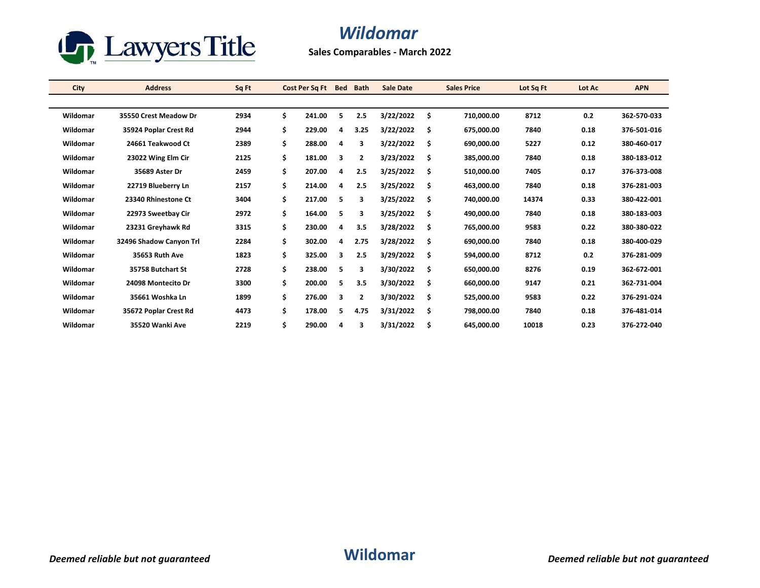

## *Wildomar*

**Sales Comparables - March 2022**

| City     | <b>Address</b>          | Sq Ft | Cost Per Sq Ft Bed |   | <b>Bath</b>    | <b>Sale Date</b> |     | <b>Sales Price</b> | Lot Sq Ft | Lot Ac | <b>APN</b>  |
|----------|-------------------------|-------|--------------------|---|----------------|------------------|-----|--------------------|-----------|--------|-------------|
|          |                         |       |                    |   |                |                  |     |                    |           |        |             |
| Wildomar | 35550 Crest Meadow Dr   | 2934  | \$<br>241.00       | 5 | 2.5            | 3/22/2022        | \$. | 710,000.00         | 8712      | 0.2    | 362-570-033 |
| Wildomar | 35924 Poplar Crest Rd   | 2944  | \$<br>229.00       | 4 | 3.25           | 3/22/2022        | \$  | 675,000.00         | 7840      | 0.18   | 376-501-016 |
| Wildomar | 24661 Teakwood Ct       | 2389  | \$<br>288.00       | 4 | 3              | 3/22/2022        | \$  | 690,000.00         | 5227      | 0.12   | 380-460-017 |
| Wildomar | 23022 Wing Elm Cir      | 2125  | \$<br>181.00       | 3 | 2              | 3/23/2022        | \$  | 385,000.00         | 7840      | 0.18   | 380-183-012 |
| Wildomar | 35689 Aster Dr          | 2459  | \$<br>207.00       | 4 | 2.5            | 3/25/2022        | \$  | 510,000.00         | 7405      | 0.17   | 376-373-008 |
| Wildomar | 22719 Blueberry Ln      | 2157  | \$<br>214.00       | 4 | 2.5            | 3/25/2022        | \$. | 463,000.00         | 7840      | 0.18   | 376-281-003 |
| Wildomar | 23340 Rhinestone Ct     | 3404  | \$<br>217.00       | 5 | 3              | 3/25/2022        | \$  | 740,000.00         | 14374     | 0.33   | 380-422-001 |
| Wildomar | 22973 Sweetbay Cir      | 2972  | \$<br>164.00       | 5 | 3              | 3/25/2022        | \$  | 490,000.00         | 7840      | 0.18   | 380-183-003 |
| Wildomar | 23231 Greyhawk Rd       | 3315  | \$<br>230.00       | 4 | 3.5            | 3/28/2022        | \$  | 765,000.00         | 9583      | 0.22   | 380-380-022 |
| Wildomar | 32496 Shadow Canyon Trl | 2284  | \$<br>302.00       | 4 | 2.75           | 3/28/2022        | \$  | 690,000.00         | 7840      | 0.18   | 380-400-029 |
| Wildomar | 35653 Ruth Ave          | 1823  | \$<br>325.00       | 3 | 2.5            | 3/29/2022        | \$. | 594.000.00         | 8712      | 0.2    | 376-281-009 |
| Wildomar | 35758 Butchart St       | 2728  | \$<br>238.00       | 5 | 3              | 3/30/2022        | \$  | 650,000.00         | 8276      | 0.19   | 362-672-001 |
| Wildomar | 24098 Montecito Dr      | 3300  | \$<br>200.00       | 5 | 3.5            | 3/30/2022        | \$  | 660,000.00         | 9147      | 0.21   | 362-731-004 |
| Wildomar | 35661 Woshka Ln         | 1899  | \$<br>276.00       | 3 | $\overline{2}$ | 3/30/2022        | \$  | 525,000.00         | 9583      | 0.22   | 376-291-024 |
| Wildomar | 35672 Poplar Crest Rd   | 4473  | \$<br>178.00       | 5 | 4.75           | 3/31/2022        | \$  | 798,000.00         | 7840      | 0.18   | 376-481-014 |
| Wildomar | 35520 Wanki Ave         | 2219  | \$<br>290.00       | 4 | 3              | 3/31/2022        | \$  | 645,000.00         | 10018     | 0.23   | 376-272-040 |